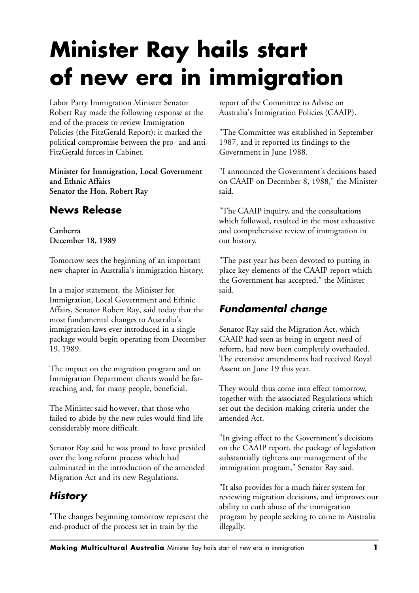# **Minister Ray hails start of new era in immigration**

Labor Party Immigration Minister Senator Robert Ray made the following response at the end of the process to review Immigration Policies (the FitzGerald Report): it marked the political compromise between the pro- and anti-FitzGerald forces in Cabinet.

**Minister for Immigration, Local Government and Ethnic Affairs Senator the Hon. Robert Ray**

#### **News Release**

**Canberra December 18, 1989**

Tomorrow sees the beginning of an important new chapter in Australia's immigration history.

In a major statement, the Minister for Immigration, Local Government and Ethnic Affairs, Senator Robert Ray, said today that the most fundamental changes to Australia's immigration laws ever introduced in a single package would begin operating from December 19, 1989.

The impact on the migration program and on Immigration Department clients would be farreaching and, for many people, beneficial.

The Minister said however, that those who failed to abide by the new rules would find life considerably more difficult.

Senator Ray said he was proud to have presided over the long reform process which had culminated in the introduction of the amended Migration Act and its new Regulations.

# *History*

"The changes beginning tomorrow represent the end-product of the process set in train by the

report of the Committee to Advise on Australia's Immigration Policies (CAAIP).

"The Committee was established in September 1987, and it reported its findings to the Government in June 1988.

"I announced the Government's decisions based on CAAIP on December 8, 1988," the Minister said.

"The CAAIP inquiry, and the consultations which followed, resulted in the most exhaustive and comprehensive review of immigration in our history.

"The past year has been devoted to putting in place key elements of the CAAIP report which the Government has accepted," the Minister said.

#### *Fundamental change*

Senator Ray said the Migration Act, which CAAIP had seen as being in urgent need of reform, had now been completely overhauled. The extensive amendments had received Royal Assent on June 19 this year.

They would thus come into effect tomorrow, together with the associated Regulations which set out the decision-making criteria under the amended Act.

"In giving effect to the Government's decisions on the CAAIP report, the package of legislation substantially tightens our management of the immigration program," Senator Ray said.

"It also provides for a much fairer system for reviewing migration decisions, and improves our ability to curb abuse of the immigration program by people seeking to come to Australia illegally.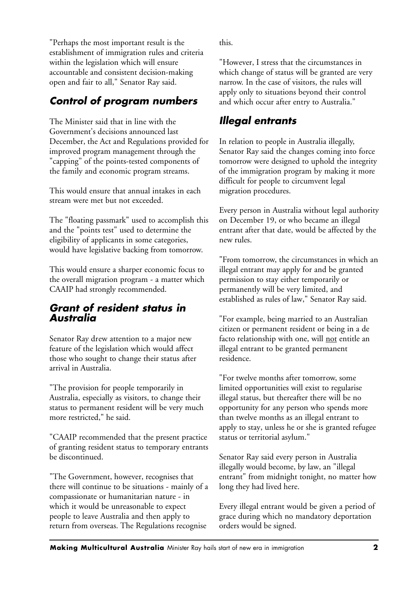"Perhaps the most important result is the establishment of immigration rules and criteria within the legislation which will ensure accountable and consistent decision-making open and fair to all," Senator Ray said.

#### *Control of program numbers*

The Minister said that in line with the Government's decisions announced last December, the Act and Regulations provided for improved program management through the "capping" of the points-tested components of the family and economic program streams.

This would ensure that annual intakes in each stream were met but not exceeded.

The "floating passmark" used to accomplish this and the "points test" used to determine the eligibility of applicants in some categories, would have legislative backing from tomorrow.

This would ensure a sharper economic focus to the overall migration program - a matter which CAAIP had strongly recommended.

#### *Grant of resident status in Australia*

Senator Ray drew attention to a major new feature of the legislation which would affect those who sought to change their status after arrival in Australia.

"The provision for people temporarily in Australia, especially as visitors, to change their status to permanent resident will be very much more restricted," he said.

"CAAIP recommended that the present practice of granting resident status to temporary entrants be discontinued.

"The Government, however, recognises that there will continue to be situations - mainly of a compassionate or humanitarian nature - in which it would be unreasonable to expect people to leave Australia and then apply to return from overseas. The Regulations recognise

this.

"However, I stress that the circumstances in which change of status will be granted are very narrow. In the case of visitors, the rules will apply only to situations beyond their control and which occur after entry to Australia."

#### *Illegal entrants*

In relation to people in Australia illegally, Senator Ray said the changes coming into force tomorrow were designed to uphold the integrity of the immigration program by making it more difficult for people to circumvent legal migration procedures.

Every person in Australia without legal authority on December 19, or who became an illegal entrant after that date, would be affected by the new rules.

"From tomorrow, the circumstances in which an illegal entrant may apply for and be granted permission to stay either temporarily or permanently will be very limited, and established as rules of law," Senator Ray said.

"For example, being married to an Australian citizen or permanent resident or being in a de facto relationship with one, will not entitle an illegal entrant to be granted permanent residence.

"For twelve months after tomorrow, some limited opportunities will exist to regularise illegal status, but thereafter there will be no opportunity for any person who spends more than twelve months as an illegal entrant to apply to stay, unless he or she is granted refugee status or territorial asylum."

Senator Ray said every person in Australia illegally would become, by law, an "illegal entrant" from midnight tonight, no matter how long they had lived here.

Every illegal entrant would be given a period of grace during which no mandatory deportation orders would be signed.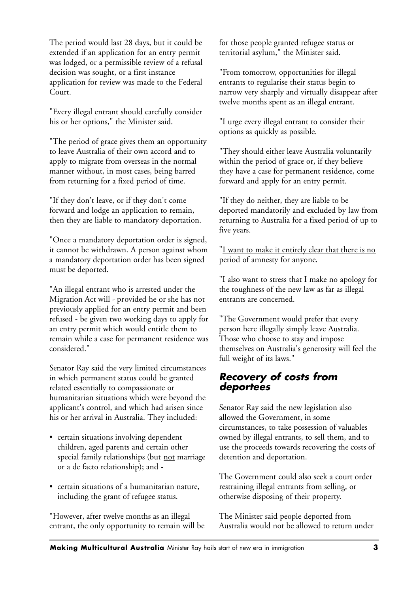The period would last 28 days, but it could be extended if an application for an entry permit was lodged, or a permissible review of a refusal decision was sought, or a first instance application for review was made to the Federal Court.

"Every illegal entrant should carefully consider his or her options," the Minister said.

"The period of grace gives them an opportunity to leave Australia of their own accord and to apply to migrate from overseas in the normal manner without, in most cases, being barred from returning for a fixed period of time.

"If they don't leave, or if they don't come forward and lodge an application to remain, then they are liable to mandatory deportation.

"Once a mandatory deportation order is signed, it cannot be withdrawn. A person against whom a mandatory deportation order has been signed must be deported.

"An illegal entrant who is arrested under the Migration Act will - provided he or she has not previously applied for an entry permit and been refused - be given two working days to apply for an entry permit which would entitle them to remain while a case for permanent residence was considered."

Senator Ray said the very limited circumstances in which permanent status could be granted related essentially to compassionate or humanitarian situations which were beyond the applicant's control, and which had arisen since his or her arrival in Australia. They included:

- certain situations involving dependent children, aged parents and certain other special family relationships (but not marriage or a de facto relationship); and -
- certain situations of a humanitarian nature, including the grant of refugee status.

"However, after twelve months as an illegal entrant, the only opportunity to remain will be for those people granted refugee status or territorial asylum," the Minister said.

"From tomorrow, opportunities for illegal entrants to regularise their status begin to narrow very sharply and virtually disappear after twelve months spent as an illegal entrant.

"I urge every illegal entrant to consider their options as quickly as possible.

"They should either leave Australia voluntarily within the period of grace or, if they believe they have a case for permanent residence, come forward and apply for an entry permit.

"If they do neither, they are liable to be deported mandatorily and excluded by law from returning to Australia for a fixed period of up to five years.

"I want to make it entirely clear that there is no period of amnesty for anyone.

"I also want to stress that I make no apology for the toughness of the new law as far as illegal entrants are concerned.

"The Government would prefer that every person here illegally simply leave Australia. Those who choose to stay and impose themselves on Australia's generosity will feel the full weight of its laws."

#### *Recovery of costs from deportees*

Senator Ray said the new legislation also allowed the Government, in some circumstances, to take possession of valuables owned by illegal entrants, to sell them, and to use the proceeds towards recovering the costs of detention and deportation.

The Government could also seek a court order restraining illegal entrants from selling, or otherwise disposing of their property.

The Minister said people deported from Australia would not be allowed to return under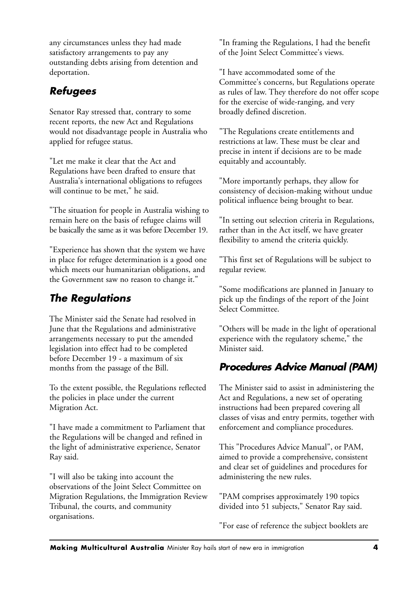any circumstances unless they had made satisfactory arrangements to pay any outstanding debts arising from detention and deportation.

#### *Refugees*

Senator Ray stressed that, contrary to some recent reports, the new Act and Regulations would not disadvantage people in Australia who applied for refugee status.

"Let me make it clear that the Act and Regulations have been drafted to ensure that Australia's international obligations to refugees will continue to be met," he said.

"The situation for people in Australia wishing to remain here on the basis of refugee claims will be basically the same as it was before December 19.

"Experience has shown that the system we have in place for refugee determination is a good one which meets our humanitarian obligations, and the Government saw no reason to change it."

## *The Regulations*

The Minister said the Senate had resolved in June that the Regulations and administrative arrangements necessary to put the amended legislation into effect had to be completed before December 19 - a maximum of six months from the passage of the Bill.

To the extent possible, the Regulations reflected the policies in place under the current Migration Act.

"I have made a commitment to Parliament that the Regulations will be changed and refined in the light of administrative experience, Senator Ray said.

"I will also be taking into account the observations of the Joint Select Committee on Migration Regulations, the Immigration Review Tribunal, the courts, and community organisations.

"In framing the Regulations, I had the benefit of the Joint Select Committee's views.

"I have accommodated some of the Committee's concerns, but Regulations operate as rules of law. They therefore do not offer scope for the exercise of wide-ranging, and very broadly defined discretion.

"The Regulations create entitlements and restrictions at law. These must be clear and precise in intent if decisions are to be made equitably and accountably.

"More importantly perhaps, they allow for consistency of decision-making without undue political influence being brought to bear.

"In setting out selection criteria in Regulations, rather than in the Act itself, we have greater flexibility to amend the criteria quickly.

"This first set of Regulations will be subject to regular review.

"Some modifications are planned in January to pick up the findings of the report of the Joint Select Committee.

"Others will be made in the light of operational experience with the regulatory scheme," the Minister said.

# *Procedures Advice Manual (PAM)*

The Minister said to assist in administering the Act and Regulations, a new set of operating instructions had been prepared covering all classes of visas and entry permits, together with enforcement and compliance procedures.

This "Procedures Advice Manual", or PAM, aimed to provide a comprehensive, consistent and clear set of guidelines and procedures for administering the new rules.

"PAM comprises approximately 190 topics divided into 51 subjects," Senator Ray said.

"For ease of reference the subject booklets are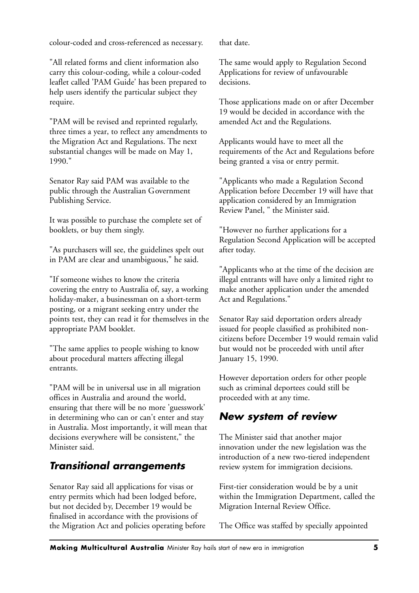colour-coded and cross-referenced as necessary.

"All related forms and client information also carry this colour-coding, while a colour-coded leaflet called 'PAM Guide' has been prepared to help users identify the particular subject they require.

"PAM will be revised and reprinted regularly, three times a year, to reflect any amendments to the Migration Act and Regulations. The next substantial changes will be made on May 1, 1990."

Senator Ray said PAM was available to the public through the Australian Government Publishing Service.

It was possible to purchase the complete set of booklets, or buy them singly.

"As purchasers will see, the guidelines spelt out in PAM are clear and unambiguous," he said.

"If someone wishes to know the criteria covering the entry to Australia of, say, a working holiday-maker, a businessman on a short-term posting, or a migrant seeking entry under the points test, they can read it for themselves in the appropriate PAM booklet.

"The same applies to people wishing to know about procedural matters affecting illegal entrants.

"PAM will be in universal use in all migration offices in Australia and around the world, ensuring that there will be no more 'guesswork' in determining who can or can't enter and stay in Australia. Most importantly, it will mean that decisions everywhere will be consistent," the Minister said.

### *Transitional arrangements*

Senator Ray said all applications for visas or entry permits which had been lodged before, but not decided by, December 19 would be finalised in accordance with the provisions of the Migration Act and policies operating before that date.

The same would apply to Regulation Second Applications for review of unfavourable decisions.

Those applications made on or after December 19 would be decided in accordance with the amended Act and the Regulations.

Applicants would have to meet all the requirements of the Act and Regulations before being granted a visa or entry permit.

"Applicants who made a Regulation Second Application before December 19 will have that application considered by an Immigration Review Panel, " the Minister said.

"However no further applications for a Regulation Second Application will be accepted after today.

"Applicants who at the time of the decision are illegal entrants will have only a limited right to make another application under the amended Act and Regulations."

Senator Ray said deportation orders already issued for people classified as prohibited noncitizens before December 19 would remain valid but would not be proceeded with until after January 15, 1990.

However deportation orders for other people such as criminal deportees could still be proceeded with at any time.

### *New system of review*

The Minister said that another major innovation under the new legislation was the introduction of a new two-tiered independent review system for immigration decisions.

First-tier consideration would be by a unit within the Immigration Department, called the Migration Internal Review Office.

The Office was staffed by specially appointed